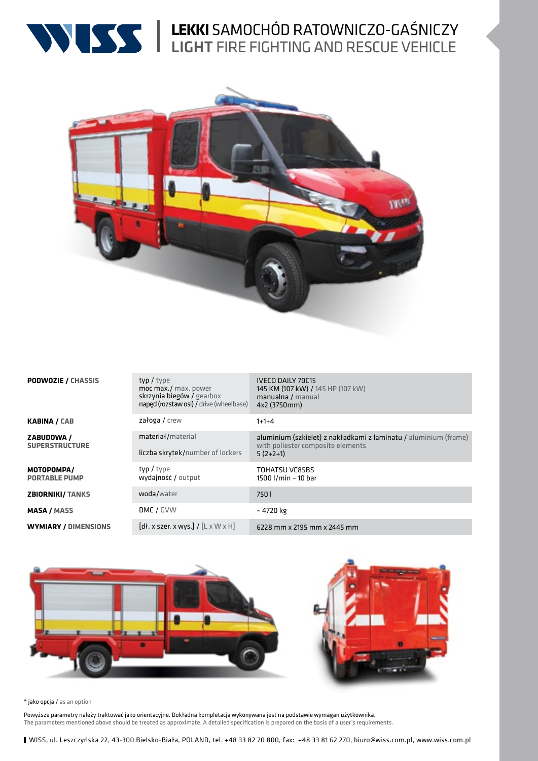

# **LEKKI** SAMOCHÓD RATOWNICZO-GAŚNICZY LIGHT FIRE FIGHTING AND RESCUE VEHICLE



| <b>PODWOZIE / CHASSIS</b>           | typ / type<br>moc max./ max. power<br>skrzynia biegów / gearbox<br>naped (rozstaw osi) / drive (wheelbase)                                                                                      | <b>IVECO DAILY 70C15</b><br>145 KM (107 kW) / 145 HP (107 kW)<br>manualna / manual<br>4x2 (3750mm)                  |
|-------------------------------------|-------------------------------------------------------------------------------------------------------------------------------------------------------------------------------------------------|---------------------------------------------------------------------------------------------------------------------|
| KABINA / CAB                        | załoga / crew                                                                                                                                                                                   | $1+1+4$                                                                                                             |
| ZABUDOWA /<br><b>SUPERSTRUCTURE</b> | materiał/material<br>liczba skrytek/number of lockers                                                                                                                                           | aluminium (szkielet) z nakładkami z laminatu / aluminium (frame)<br>with poliester composite elements<br>$5(2+2+1)$ |
| MOTOPOMPA/<br><b>PORTABLE PUMP</b>  | typ / type<br>wydajność / output                                                                                                                                                                | TOHATSU VC85BS<br>1500 l/min - 10 bar                                                                               |
| <b>ZBIORNIKI/TANKS</b>              | woda/water                                                                                                                                                                                      | 750 I                                                                                                               |
| <b>MASA / MASS</b>                  | DMC / GVW                                                                                                                                                                                       | $~\sim$ 4720 kg                                                                                                     |
| <b>WYMIARY / DIMENSIONS</b>         | $\left[\mathsf{d} \mathsf{H} \mathsf{d} \mathsf{x} \mathsf{x} \mathsf{z} \mathsf{d} \mathsf{d} \mathsf{x} \mathsf{x} \mathsf{w} \mathsf{y} \mathsf{x} \mathsf{x} \mathsf{d} \mathsf{x} \right]$ | 6228 mm x 2195 mm x 2445 mm                                                                                         |



### \* jako opcja / as an option

Powyższe parametry należy traktować jako orientacyjne. Dokładna kompletacja wykonywana jest na podstawie wymagań użytkownika. The parameters mentioned above should be treated as approximate. A detailed specification is prepared on the basis of a user's requirements.

WISS, ul. Leszczyńska 22, 43-300 Bielsko-Biała, POLAND, tel. +48 33 82 70 800, fax: +48 33 81 62 270, biuro@wiss.com.pl, www.wiss.com.pl